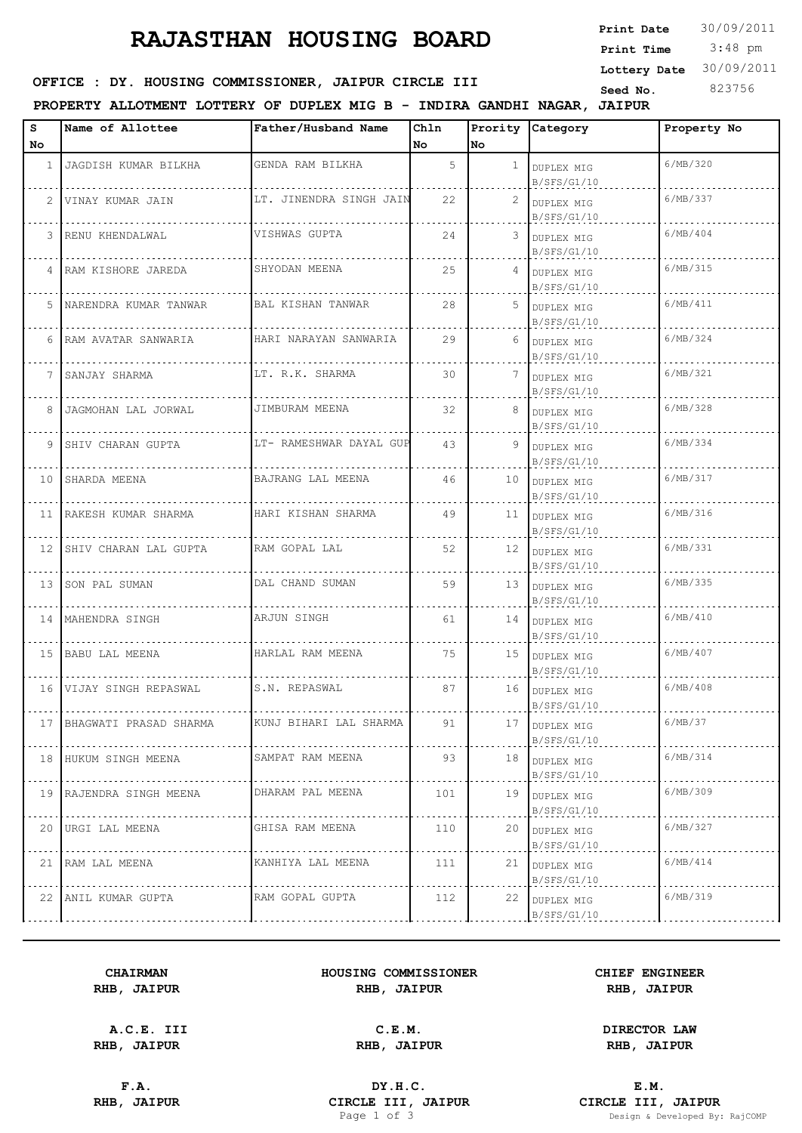# **RAJASTHAN HOUSING BOARD**

## OFFICE : DY. HOUSING COMMISSIONER, JAIPUR CIRCLE III

### **PROPERTY ALLOTMENT LOTTERY OF DUPLEX MIG B - INDIRA GANDHI NAGAR, JAIPUR**

| s  | Name of Allottee          | Father/Husband Name     | Chln |              | Prority Category             | Property No |
|----|---------------------------|-------------------------|------|--------------|------------------------------|-------------|
| No |                           |                         | No.  | No           |                              |             |
|    | 1 JAGDISH KUMAR BILKHA    | GENDA RAM BILKHA        | 5    | $\mathbf{1}$ | DUPLEX MIG<br>B/SFS/G1/10    | 6/MB/320    |
|    | 2 VINAY KUMAR JAIN        | LT. JINENDRA SINGH JAIN | 22   |              | 2 DUPLEX MIG<br>B/SFS/G1/10  | 6/MB/337    |
|    | 3 RENU KHENDALWAL         | VISHWAS GUPTA           | 24   |              | 3 DUPLEX MIG<br>B/SFS/G1/10  | 6/MB/404    |
|    | 4 RAM KISHORE JAREDA      | SHYODAN MEENA           | 25   |              | 4 DUPLEX MIG<br>B/SFS/G1/10  | 6/MB/315    |
| 5  | NARENDRA KUMAR TANWAR     | BAL KISHAN TANWAR       | 28   |              | 5 DUPLEX MIG<br>B/SFS/G1/10  | 6/MB/411    |
|    | 6 RAM AVATAR SANWARIA     | HARI NARAYAN SANWARIA   | 29   |              | 6 DUPLEX MIG<br>B/SFS/G1/10  | 6/MB/324    |
|    | 7 SANJAY SHARMA           | LT. R.K. SHARMA         | 30   | 7            | DUPLEX MIG<br>B/SFS/G1/10    | 6/MB/321    |
|    | 8 JAGMOHAN LAL JORWAL     | JIMBURAM MEENA          | 32   |              | 8 DUPLEX MIG<br>B/SFS/G1/10  | 6/MB/328    |
|    | 9 SHIV CHARAN GUPTA       | LT- RAMESHWAR DAYAL GUP | 43   | 9            | DUPLEX MIG<br>B/SFS/G1/10    | 6/MB/334    |
|    | 10 SHARDA MEENA           | BAJRANG LAL MEENA       | 46   |              | 10 DUPLEX MIG<br>B/SFS/G1/10 | 6/MB/317    |
|    | 11   RAKESH KUMAR SHARMA  | HARI KISHAN SHARMA      | 49   |              | 11 DUPLEX MIG<br>B/SFS/G1/10 | 6/MB/316    |
|    | 12 SHIV CHARAN LAL GUPTA  | RAM GOPAL LAL           | 52   |              | 12 DUPLEX MIG<br>B/SFS/G1/10 | 6/MB/331    |
|    | 13 SON PAL SUMAN          | DAL CHAND SUMAN         | 59   |              | 13 DUPLEX MIG<br>B/SFS/G1/10 | 6/MB/335    |
|    | 14   MAHENDRA SINGH       | ARJUN SINGH             | 61   |              | 14 DUPLEX MIG<br>B/SFS/G1/10 | 6/MB/410    |
|    | 15 BABU LAL MEENA         | HARLAL RAM MEENA        | 75   |              | 15 DUPLEX MIG<br>B/SFS/G1/10 | 6/MB/407    |
|    | 16 VIJAY SINGH REPASWAL   | S.N. REPASWAL           | 87   |              | 16 DUPLEX MIG<br>B/SFS/G1/10 | 6/MB/408    |
|    | 17 BHAGWATI PRASAD SHARMA | KUNJ BIHARI LAL SHARMA  | 91   | 17           | DUPLEX MIG<br>B/SFS/G1/10    | 6/MB/37     |
|    | 18 HUKUM SINGH MEENA      | SAMPAT RAM MEENA        | 93   |              | 18 DUPLEX MIG<br>B/SFS/G1/10 | 6/MB/314    |
|    | 19 RAJENDRA SINGH MEENA   | DHARAM PAL MEENA        | 101  |              | 19 DUPLEX MIG<br>B/SFS/G1/10 | 6/MB/309    |
|    | 20 URGI LAL MEENA         | GHISA RAM MEENA         | 110  | 20           | DUPLEX MIG<br>B/SFS/G1/10    | 6/MB/327    |
|    | 21 RAM LAL MEENA          | KANHIYA LAL MEENA       | 111  |              | 21 DUPLEX MIG<br>B/SFS/G1/10 | 6/MB/414    |
|    | 22 ANIL KUMAR GUPTA       | RAM GOPAL GUPTA         | 112  | 22           | DUPLEX MIG<br>B/SFS/G1/10    | 6/MB/319    |
|    |                           |                         |      |              |                              |             |

#### **CHAIRMAN HOUSING COMMISSIONER CHIEF ENGINEER RHB, JAIPUR RHB, JAIPUR RHB, JAIPUR**

**A.C.E. III C.E.M. DIRECTOR LAW**

**F.A. DY.H.C. E.M. RHB, JAIPUR CIRCLE III, JAIPUR CIRCLE III, JAIPUR CIRCLE III, JAIPUR Page 1 of 3 Design & Developed By:** 

**RHB, JAIPUR RHB, JAIPUR RHB, JAIPUR**

Design & Developed By: RajCOMP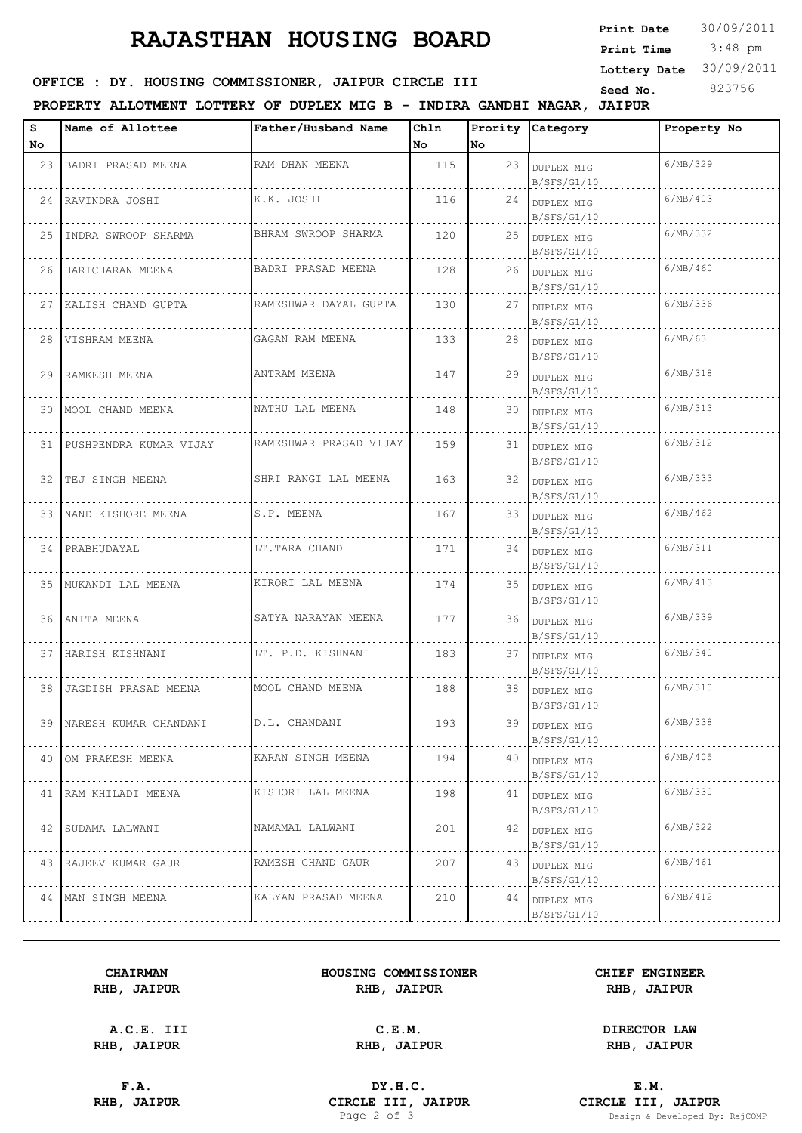# **RAJASTHAN HOUSING BOARD**

| <b>Print Date</b> | 30/09/2011 |
|-------------------|------------|
| Print Time        | $3:48$ pm  |
| Lottery Date      | 30/09/2011 |
| Seed No.          | 823756     |
|                   |            |

## OFFICE : DY. HOUSING COMMISSIONER, JAIPUR CIRCLE III

### **PROPERTY ALLOTMENT LOTTERY OF DUPLEX MIG B - INDIRA GANDHI NAGAR, JAIPUR**

| s               | Name of Allottee        | Father/Husband Name    | Chln |      | Prority Category                 | Property No         |
|-----------------|-------------------------|------------------------|------|------|----------------------------------|---------------------|
| No              |                         |                        | No   | lNo. |                                  |                     |
|                 | 23 BADRI PRASAD MEENA   | RAM DHAN MEENA         | 115  |      | 23 DUPLEX MIG<br>B/SFS/G1/10     | 6/MB/329            |
|                 | 24 RAVINDRA JOSHI       | K.K. JOSHI             | 116  |      | 24 DUPLEX MIG<br>B/SFS/G1/10     | 6/MB/403            |
|                 | 25 INDRA SWROOP SHARMA  | BHRAM SWROOP SHARMA    | 120  |      | 25 DUPLEX MIG<br>B/SFS/G1/10     | 6/MB/332            |
|                 | 26 HARICHARAN MEENA     | BADRI PRASAD MEENA     | 128  |      | 26 DUPLEX MIG<br>B/SFS/G1/10     | 6/MB/460            |
|                 | 27 KALISH CHAND GUPTA   | RAMESHWAR DAYAL GUPTA  | 130  |      | 27 DUPLEX MIG<br>B/SFS/G1/10     | 6/MB/336            |
|                 | 28 VISHRAM MEENA        | GAGAN RAM MEENA        | 133  |      | 28 DUPLEX MIG<br>B/SFS/G1/10     | 6/MB/63             |
|                 | 29 RAMKESH MEENA        | ANTRAM MEENA           | 147  |      | 29 DUPLEX MIG<br>B/SFS/G1/10     | 6/MB/318            |
|                 | 30   MOOL CHAND MEENA   | NATHU LAL MEENA        | 148  |      | 30 DUPLEX MIG<br>B/SFS/G1/10     | 6/MB/313            |
| 31              | PUSHPENDRA KUMAR VIJAY  | RAMESHWAR PRASAD VIJAY | 159  |      | 31 DUPLEX MIG<br>B/SFS/G1/10     | 6/MB/312            |
|                 | 32 TEJ SINGH MEENA      | SHRI RANGI LAL MEENA   | 163  |      | 32 DUPLEX MIG<br>B/SFS/G1/10     | 6/MB/333            |
|                 | 33 NAND KISHORE MEENA   | S.P. MEENA             | 167  |      | 33 DUPLEX MIG<br>B/SFS/G1/10     | 6/MB/462            |
|                 | 34 PRABHUDAYAL          | LT. TARA CHAND         | 171  |      | 34 DUPLEX MIG<br>B/SFS/G1/10     | 6/MB/311            |
|                 | 35   MUKANDI LAL MEENA  | KIRORI LAL MEENA       | 174  |      | 35 DUPLEX MIG<br>B/SFS/G1/10     | 6/MB/413            |
|                 | 36 ANITA MEENA          | SATYA NARAYAN MEENA    | 177  |      | 36 DUPLEX MIG<br>B/SFS/G1/10     | 6/MB/339            |
| 37              | HARISH KISHNANI         | LT. P.D. KISHNANI      | 183  |      | 37 DUPLEX MIG<br>B/SFS/G1/10     | 6/MB/340            |
|                 | 38 JAGDISH PRASAD MEENA | MOOL CHAND MEENA       | 188  |      | 38 DUPLEX MIG<br>B/SFS/G1/10     | 6/MB/310            |
| 39              | NARESH KUMAR CHANDANI   | D.L. CHANDANI          | 193  | 39   | <b>DUPLEX MIG</b><br>B/SFS/G1/10 | $6/\mathrm{MB}/338$ |
| 40 <sup>1</sup> | OM PRAKESH MEENA        | KARAN SINGH MEENA      | 194  |      | 40 DUPLEX MIG<br>B/SFS/G1/10     | 6/MB/405            |
|                 | 41 RAM KHILADI MEENA    | KISHORI LAL MEENA      | 198  |      | 41 DUPLEX MIG<br>B/SFS/G1/10     | 6/MB/330            |
|                 | 42 SUDAMA LALWANI       | NAMAMAL LALWANI        | 201  |      | 42 DUPLEX MIG<br>B/SFS/G1/10     | 6/MB/322            |
|                 | 43   RAJEEV KUMAR GAUR  | RAMESH CHAND GAUR      | 207  |      | 43 DUPLEX MIG<br>B/SFS/G1/10     | 6/MB/461            |
|                 | 44   MAN SINGH MEENA    | KALYAN PRASAD MEENA    | 210  | 44   | DUPLEX MIG<br>B/SFS/G1/10        | 6/MB/412            |

#### **CHAIRMAN HOUSING COMMISSIONER CHIEF ENGINEER RHB, JAIPUR RHB, JAIPUR RHB, JAIPUR**

**A.C.E. III C.E.M. DIRECTOR LAW**

**F.A. DY.H.C. E.M. RHB, JAIPUR CIRCLE III, JAIPUR CIRCLE III, JAIPUR CIRCLE III, JAIPUR Page 2** of 3

**RHB, JAIPUR RHB, JAIPUR RHB, JAIPUR**

Design & Developed By: RajCOMP